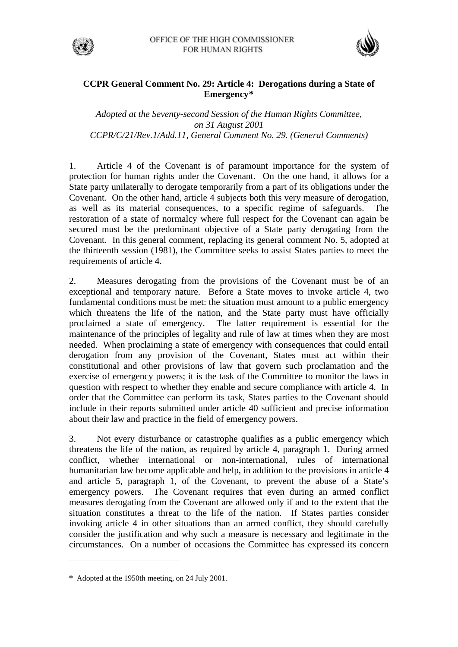



## **CCPR General Comment No. 29: Article 4: Derogations during a State of Emergency[\\*](#page-0-0)**

*Adopted at the Seventy-second Session of the Human Rights Committee, on 31 August 2001 CCPR/C/21/Rev.1/Add.11, General Comment No. 29. (General Comments)* 

1. Article 4 of the Covenant is of paramount importance for the system of protection for human rights under the Covenant. On the one hand, it allows for a State party unilaterally to derogate temporarily from a part of its obligations under the Covenant. On the other hand, article 4 subjects both this very measure of derogation, as well as its material consequences, to a specific regime of safeguards. The restoration of a state of normalcy where full respect for the Covenant can again be secured must be the predominant objective of a State party derogating from the Covenant. In this general comment, replacing its general comment No. 5, adopted at the thirteenth session (1981), the Committee seeks to assist States parties to meet the requirements of article 4.

2. Measures derogating from the provisions of the Covenant must be of an exceptional and temporary nature. Before a State moves to invoke article 4, two fundamental conditions must be met: the situation must amount to a public emergency which threatens the life of the nation, and the State party must have officially proclaimed a state of emergency. The latter requirement is essential for the maintenance of the principles of legality and rule of law at times when they are most needed. When proclaiming a state of emergency with consequences that could entail derogation from any provision of the Covenant, States must act within their constitutional and other provisions of law that govern such proclamation and the exercise of emergency powers; it is the task of the Committee to monitor the laws in question with respect to whether they enable and secure compliance with article 4. In order that the Committee can perform its task, States parties to the Covenant should include in their reports submitted under article 40 sufficient and precise information about their law and practice in the field of emergency powers.

3. Not every disturbance or catastrophe qualifies as a public emergency which threatens the life of the nation, as required by article 4, paragraph 1. During armed conflict, whether international or non-international, rules of international humanitarian law become applicable and help, in addition to the provisions in article 4 and article 5, paragraph 1, of the Covenant, to prevent the abuse of a State's emergency powers. The Covenant requires that even during an armed conflict measures derogating from the Covenant are allowed only if and to the extent that the situation constitutes a threat to the life of the nation. If States parties consider invoking article 4 in other situations than an armed conflict, they should carefully consider the justification and why such a measure is necessary and legitimate in the circumstances. On a number of occasions the Committee has expressed its concern

 $\overline{a}$ 

<span id="page-0-0"></span>**<sup>\*</sup>** Adopted at the 1950th meeting, on 24 July 2001.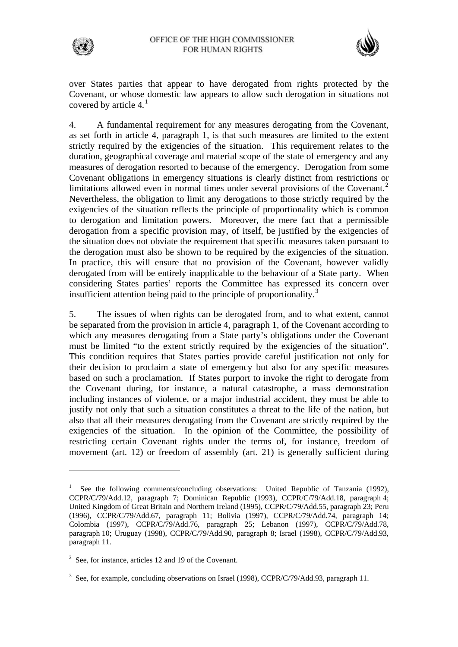



over States parties that appear to have derogated from rights protected by the Covenant, or whose domestic law appears to allow such derogation in situations not covered by article 4*.* [1](#page-1-0)

4. A fundamental requirement for any measures derogating from the Covenant, as set forth in article 4, paragraph 1, is that such measures are limited to the extent strictly required by the exigencies of the situation. This requirement relates to the duration, geographical coverage and material scope of the state of emergency and any measures of derogation resorted to because of the emergency. Derogation from some Covenant obligations in emergency situations is clearly distinct from restrictions or limitations allowed even in normal times under several provisions of the Covenant.<sup>[2](#page-1-1)</sup> Nevertheless, the obligation to limit any derogations to those strictly required by the exigencies of the situation reflects the principle of proportionality which is common to derogation and limitation powers. Moreover, the mere fact that a permissible derogation from a specific provision may, of itself, be justified by the exigencies of the situation does not obviate the requirement that specific measures taken pursuant to the derogation must also be shown to be required by the exigencies of the situation. In practice, this will ensure that no provision of the Covenant, however validly derogated from will be entirely inapplicable to the behaviour of a State party. When considering States parties' reports the Committee has expressed its concern over insufficient attention being paid to the principle of proportionality.<sup>[3](#page-1-2)</sup>

5. The issues of when rights can be derogated from, and to what extent, cannot be separated from the provision in article 4, paragraph 1, of the Covenant according to which any measures derogating from a State party's obligations under the Covenant must be limited "to the extent strictly required by the exigencies of the situation". This condition requires that States parties provide careful justification not only for their decision to proclaim a state of emergency but also for any specific measures based on such a proclamation. If States purport to invoke the right to derogate from the Covenant during, for instance, a natural catastrophe, a mass demonstration including instances of violence, or a major industrial accident, they must be able to justify not only that such a situation constitutes a threat to the life of the nation, but also that all their measures derogating from the Covenant are strictly required by the exigencies of the situation. In the opinion of the Committee, the possibility of restricting certain Covenant rights under the terms of, for instance, freedom of movement (art. 12) or freedom of assembly (art. 21) is generally sufficient during

<span id="page-1-0"></span><sup>1</sup> See the following comments/concluding observations: United Republic of Tanzania (1992), CCPR/C/79/Add.12, paragraph 7; Dominican Republic (1993), CCPR/C/79/Add.18, paragraph 4; United Kingdom of Great Britain and Northern Ireland (1995), CCPR/C/79/Add.55, paragraph 23; Peru (1996), CCPR/C/79/Add.67, paragraph 11; Bolivia (1997), CCPR/C/79/Add.74, paragraph 14; Colombia (1997), CCPR/C/79/Add.76, paragraph 25; Lebanon (1997), CCPR/C/79/Add.78, paragraph 10; Uruguay (1998), CCPR/C/79/Add.90, paragraph 8; Israel (1998), CCPR/C/79/Add.93, paragraph 11.

<span id="page-1-1"></span><sup>&</sup>lt;sup>2</sup> See, for instance, articles 12 and 19 of the Covenant.

<span id="page-1-2"></span><sup>&</sup>lt;sup>3</sup> See, for example, concluding observations on Israel (1998), CCPR/C/79/Add.93, paragraph 11.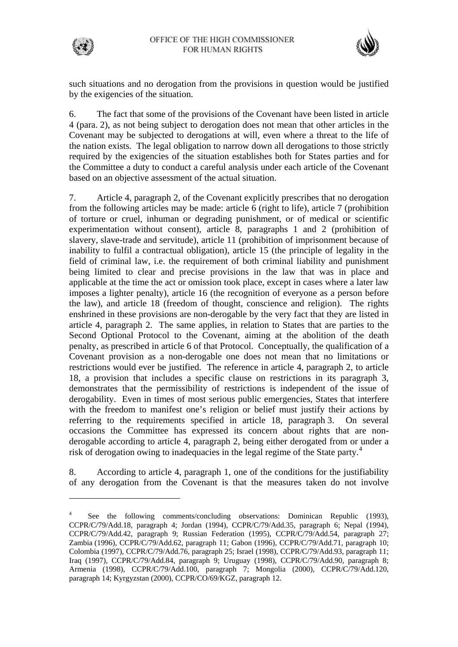



such situations and no derogation from the provisions in question would be justified by the exigencies of the situation.

6. The fact that some of the provisions of the Covenant have been listed in article 4 (para. 2), as not being subject to derogation does not mean that other articles in the Covenant may be subjected to derogations at will, even where a threat to the life of the nation exists. The legal obligation to narrow down all derogations to those strictly required by the exigencies of the situation establishes both for States parties and for the Committee a duty to conduct a careful analysis under each article of the Covenant based on an objective assessment of the actual situation.

7. Article 4, paragraph 2, of the Covenant explicitly prescribes that no derogation from the following articles may be made: article 6 (right to life), article 7 (prohibition of torture or cruel, inhuman or degrading punishment, or of medical or scientific experimentation without consent), article 8, paragraphs 1 and 2 (prohibition of slavery, slave-trade and servitude), article 11 (prohibition of imprisonment because of inability to fulfil a contractual obligation), article 15 (the principle of legality in the field of criminal law, i.e. the requirement of both criminal liability and punishment being limited to clear and precise provisions in the law that was in place and applicable at the time the act or omission took place, except in cases where a later law imposes a lighter penalty), article 16 (the recognition of everyone as a person before the law), and article 18 (freedom of thought, conscience and religion). The rights enshrined in these provisions are non-derogable by the very fact that they are listed in article 4, paragraph 2. The same applies, in relation to States that are parties to the Second Optional Protocol to the Covenant, aiming at the abolition of the death penalty, as prescribed in article 6 of that Protocol. Conceptually, the qualification of a Covenant provision as a non-derogable one does not mean that no limitations or restrictions would ever be justified. The reference in article 4, paragraph 2, to article 18, a provision that includes a specific clause on restrictions in its paragraph 3, demonstrates that the permissibility of restrictions is independent of the issue of derogability. Even in times of most serious public emergencies, States that interfere with the freedom to manifest one's religion or belief must justify their actions by referring to the requirements specified in article 18, paragraph 3. On several occasions the Committee has expressed its concern about rights that are nonderogable according to article 4, paragraph 2, being either derogated from or under a risk of derogation owing to inadequacies in the legal regime of the State party.<sup>[4](#page-2-0)</sup>

8. According to article 4, paragraph 1, one of the conditions for the justifiability of any derogation from the Covenant is that the measures taken do not involve

<span id="page-2-0"></span><sup>4</sup> See the following comments/concluding observations: Dominican Republic (1993), CCPR/C/79/Add.18, paragraph 4; Jordan (1994), CCPR/C/79/Add.35, paragraph 6; Nepal (1994), CCPR/C/79/Add.42, paragraph 9; Russian Federation (1995), CCPR/C/79/Add.54, paragraph 27; Zambia (1996), CCPR/C/79/Add.62, paragraph 11; Gabon (1996), CCPR/C/79/Add.71, paragraph 10; Colombia (1997), CCPR/C/79/Add.76, paragraph 25; Israel (1998), CCPR/C/79/Add.93, paragraph 11; Iraq (1997), CCPR/C/79/Add.84, paragraph 9; Uruguay (1998), CCPR/C/79/Add.90, paragraph 8; Armenia (1998), CCPR/C/79/Add.100, paragraph 7; Mongolia (2000), CCPR/C/79/Add.120, paragraph 14; Kyrgyzstan (2000), CCPR/CO/69/KGZ, paragraph 12.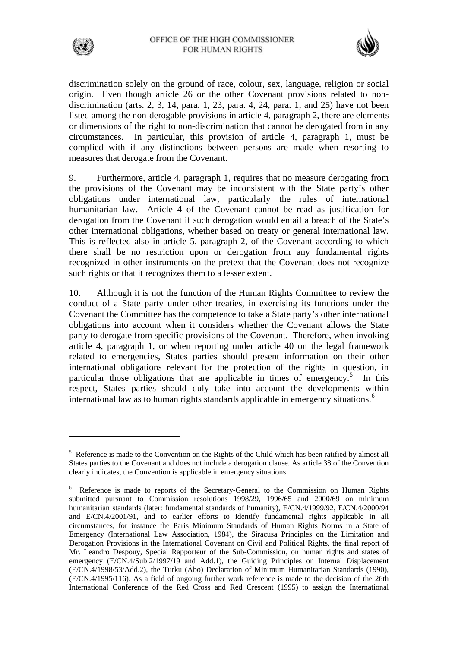



discrimination solely on the ground of race, colour, sex, language, religion or social origin. Even though article 26 or the other Covenant provisions related to nondiscrimination (arts. 2, 3, 14, para. 1, 23, para. 4, 24, para. 1, and 25) have not been listed among the non-derogable provisions in article 4, paragraph 2, there are elements or dimensions of the right to non-discrimination that cannot be derogated from in any circumstances. In particular, this provision of article 4, paragraph 1, must be complied with if any distinctions between persons are made when resorting to measures that derogate from the Covenant.

9. Furthermore, article 4, paragraph 1, requires that no measure derogating from the provisions of the Covenant may be inconsistent with the State party's other obligations under international law, particularly the rules of international humanitarian law. Article 4 of the Covenant cannot be read as justification for derogation from the Covenant if such derogation would entail a breach of the State's other international obligations, whether based on treaty or general international law. This is reflected also in article 5, paragraph 2, of the Covenant according to which there shall be no restriction upon or derogation from any fundamental rights recognized in other instruments on the pretext that the Covenant does not recognize such rights or that it recognizes them to a lesser extent.

10. Although it is not the function of the Human Rights Committee to review the conduct of a State party under other treaties, in exercising its functions under the Covenant the Committee has the competence to take a State party's other international obligations into account when it considers whether the Covenant allows the State party to derogate from specific provisions of the Covenant. Therefore, when invoking article 4, paragraph 1, or when reporting under article 40 on the legal framework related to emergencies, States parties should present information on their other international obligations relevant for the protection of the rights in question, in particular those obligations that are applicable in times of emergency.<sup>[5](#page-3-0)</sup> In this respect, States parties should duly take into account the developments within international law as to human rights standards applicable in emergency situations.<sup>[6](#page-3-1)</sup>

<span id="page-3-0"></span><sup>&</sup>lt;sup>5</sup> Reference is made to the Convention on the Rights of the Child which has been ratified by almost all States parties to the Covenant and does not include a derogation clause. As article 38 of the Convention clearly indicates, the Convention is applicable in emergency situations.

<span id="page-3-1"></span><sup>&</sup>lt;sup>6</sup> Reference is made to reports of the Secretary-General to the Commission on Human Rights submitted pursuant to Commission resolutions 1998/29, 1996/65 and 2000/69 on minimum humanitarian standards (later: fundamental standards of humanity), E/CN.4/1999/92, E/CN.4/2000/94 and E/CN.4/2001/91, and to earlier efforts to identify fundamental rights applicable in all circumstances, for instance the Paris Minimum Standards of Human Rights Norms in a State of Emergency (International Law Association, 1984), the Siracusa Principles on the Limitation and Derogation Provisions in the International Covenant on Civil and Political Rights, the final report of Mr. Leandro Despouy, Special Rapporteur of the Sub-Commission, on human rights and states of emergency (E/CN.4/Sub.2/1997/19 and Add.1), the Guiding Principles on Internal Displacement (E/CN.4/1998/53/Add.2), the Turku (Ảbo) Declaration of Minimum Humanitarian Standards (1990), (E/CN.4/1995/116). As a field of ongoing further work reference is made to the decision of the 26th International Conference of the Red Cross and Red Crescent (1995) to assign the International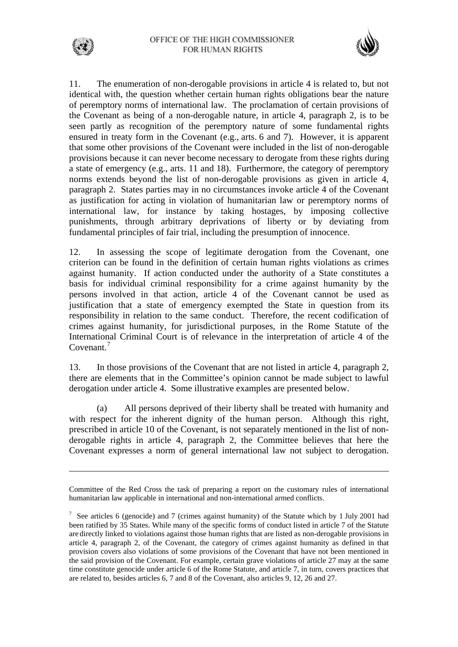

11. The enumeration of non-derogable provisions in article 4 is related to, but not identical with, the question whether certain human rights obligations bear the nature of peremptory norms of international law. The proclamation of certain provisions of the Covenant as being of a non-derogable nature, in article 4, paragraph 2, is to be seen partly as recognition of the peremptory nature of some fundamental rights ensured in treaty form in the Covenant (e.g., arts. 6 and 7). However, it is apparent that some other provisions of the Covenant were included in the list of non-derogable provisions because it can never become necessary to derogate from these rights during a state of emergency (e.g., arts. 11 and 18). Furthermore, the category of peremptory norms extends beyond the list of non-derogable provisions as given in article 4, paragraph 2. States parties may in no circumstances invoke article 4 of the Covenant as justification for acting in violation of humanitarian law or peremptory norms of international law, for instance by taking hostages, by imposing collective punishments, through arbitrary deprivations of liberty or by deviating from fundamental principles of fair trial, including the presumption of innocence.

12. In assessing the scope of legitimate derogation from the Covenant, one criterion can be found in the definition of certain human rights violations as crimes against humanity. If action conducted under the authority of a State constitutes a basis for individual criminal responsibility for a crime against humanity by the persons involved in that action, article 4 of the Covenant cannot be used as justification that a state of emergency exempted the State in question from its responsibility in relation to the same conduct. Therefore, the recent codification of crimes against humanity, for jurisdictional purposes, in the Rome Statute of the International Criminal Court is of relevance in the interpretation of article 4 of the Covenant.<sup>[7](#page-4-0)</sup>

13. In those provisions of the Covenant that are not listed in article 4, paragraph 2, there are elements that in the Committee's opinion cannot be made subject to lawful derogation under article 4. Some illustrative examples are presented below.

 (a) All persons deprived of their liberty shall be treated with humanity and with respect for the inherent dignity of the human person. Although this right, prescribed in article 10 of the Covenant, is not separately mentioned in the list of nonderogable rights in article 4, paragraph 2, the Committee believes that here the Covenant expresses a norm of general international law not subject to derogation.

 $\overline{a}$ 

Committee of the Red Cross the task of preparing a report on the customary rules of international humanitarian law applicable in international and non-international armed conflicts.

<span id="page-4-0"></span><sup>&</sup>lt;sup>7</sup> See articles 6 (genocide) and 7 (crimes against humanity) of the Statute which by 1 July 2001 had been ratified by 35 States. While many of the specific forms of conduct listed in article 7 of the Statute are directly linked to violations against those human rights that are listed as non-derogable provisions in article 4, paragraph 2, of the Covenant, the category of crimes against humanity as defined in that provision covers also violations of some provisions of the Covenant that have not been mentioned in the said provision of the Covenant. For example, certain grave violations of article 27 may at the same time constitute genocide under article 6 of the Rome Statute, and article 7, in turn, covers practices that are related to, besides articles 6, 7 and 8 of the Covenant, also articles 9, 12, 26 and 27.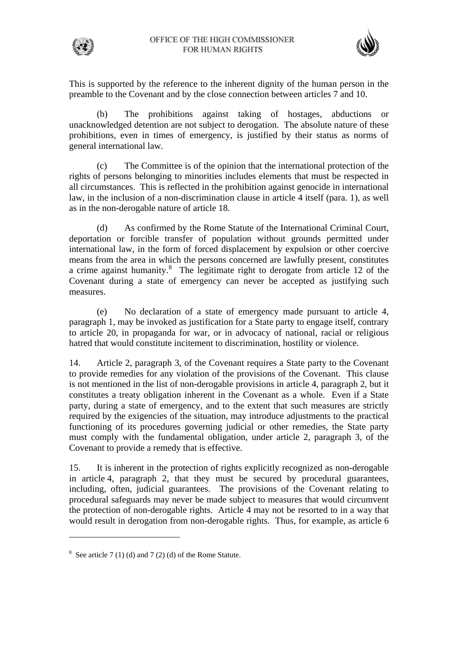



This is supported by the reference to the inherent dignity of the human person in the preamble to the Covenant and by the close connection between articles 7 and 10.

 (b) The prohibitions against taking of hostages, abductions or unacknowledged detention are not subject to derogation. The absolute nature of these prohibitions, even in times of emergency, is justified by their status as norms of general international law.

 (c) The Committee is of the opinion that the international protection of the rights of persons belonging to minorities includes elements that must be respected in all circumstances. This is reflected in the prohibition against genocide in international law, in the inclusion of a non-discrimination clause in article 4 itself (para. 1), as well as in the non-derogable nature of article 18.

 (d) As confirmed by the Rome Statute of the International Criminal Court, deportation or forcible transfer of population without grounds permitted under international law, in the form of forced displacement by expulsion or other coercive means from the area in which the persons concerned are lawfully present, constitutes a crime against humanity.<sup>[8](#page-5-0)</sup> The legitimate right to derogate from article 12 of the Covenant during a state of emergency can never be accepted as justifying such measures.

 (e) No declaration of a state of emergency made pursuant to article 4, paragraph 1, may be invoked as justification for a State party to engage itself, contrary to article 20, in propaganda for war, or in advocacy of national, racial or religious hatred that would constitute incitement to discrimination, hostility or violence.

14. Article 2, paragraph 3, of the Covenant requires a State party to the Covenant to provide remedies for any violation of the provisions of the Covenant. This clause is not mentioned in the list of non-derogable provisions in article 4, paragraph 2, but it constitutes a treaty obligation inherent in the Covenant as a whole. Even if a State party, during a state of emergency, and to the extent that such measures are strictly required by the exigencies of the situation, may introduce adjustments to the practical functioning of its procedures governing judicial or other remedies, the State party must comply with the fundamental obligation, under article 2, paragraph 3, of the Covenant to provide a remedy that is effective.

15. It is inherent in the protection of rights explicitly recognized as non-derogable in article 4, paragraph 2, that they must be secured by procedural guarantees, including, often, judicial guarantees. The provisions of the Covenant relating to procedural safeguards may never be made subject to measures that would circumvent the protection of non-derogable rights. Article 4 may not be resorted to in a way that would result in derogation from non-derogable rights. Thus, for example, as article 6

 $\overline{a}$ 

<span id="page-5-0"></span> $8 \text{ See article } 7(1)$  (d) and  $7(2)$  (d) of the Rome Statute.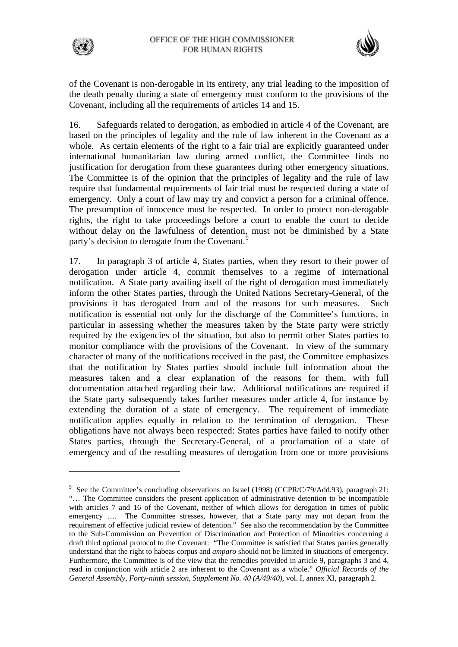

of the Covenant is non-derogable in its entirety, any trial leading to the imposition of the death penalty during a state of emergency must conform to the provisions of the Covenant, including all the requirements of articles 14 and 15.

16. Safeguards related to derogation, as embodied in article 4 of the Covenant, are based on the principles of legality and the rule of law inherent in the Covenant as a whole. As certain elements of the right to a fair trial are explicitly guaranteed under international humanitarian law during armed conflict, the Committee finds no justification for derogation from these guarantees during other emergency situations. The Committee is of the opinion that the principles of legality and the rule of law require that fundamental requirements of fair trial must be respected during a state of emergency. Only a court of law may try and convict a person for a criminal offence. The presumption of innocence must be respected. In order to protect non-derogable rights, the right to take proceedings before a court to enable the court to decide without delay on the lawfulness of detention, must not be diminished by a State party's decision to derogate from the Covenant.<sup>[9](#page-6-0)</sup>

17. In paragraph 3 of article 4, States parties, when they resort to their power of derogation under article 4, commit themselves to a regime of international notification. A State party availing itself of the right of derogation must immediately inform the other States parties, through the United Nations Secretary-General, of the provisions it has derogated from and of the reasons for such measures. Such notification is essential not only for the discharge of the Committee's functions, in particular in assessing whether the measures taken by the State party were strictly required by the exigencies of the situation, but also to permit other States parties to monitor compliance with the provisions of the Covenant. In view of the summary character of many of the notifications received in the past, the Committee emphasizes that the notification by States parties should include full information about the measures taken and a clear explanation of the reasons for them, with full documentation attached regarding their law. Additional notifications are required if the State party subsequently takes further measures under article 4, for instance by extending the duration of a state of emergency. The requirement of immediate notification applies equally in relation to the termination of derogation. These obligations have not always been respected: States parties have failed to notify other States parties, through the Secretary-General, of a proclamation of a state of emergency and of the resulting measures of derogation from one or more provisions

<span id="page-6-0"></span><sup>&</sup>lt;sup>9</sup> See the Committee's concluding observations on Israel (1998) (CCPR/C/79/Add.93), paragraph 21: "… The Committee considers the present application of administrative detention to be incompatible with articles 7 and 16 of the Covenant, neither of which allows for derogation in times of public emergency …. The Committee stresses, however, that a State party may not depart from the requirement of effective judicial review of detention." See also the recommendation by the Committee to the Sub-Commission on Prevention of Discrimination and Protection of Minorities concerning a draft third optional protocol to the Covenant: "The Committee is satisfied that States parties generally understand that the right to habeas corpus and *amparo* should not be limited in situations of emergency. Furthermore, the Committee is of the view that the remedies provided in article 9, paragraphs 3 and 4, read in conjunction with article 2 are inherent to the Covenant as a whole." *Official Records of the General Assembly, Forty-ninth session, Supplement No. 40 (A/49/40)*, vol. I, annex XI, paragraph 2.